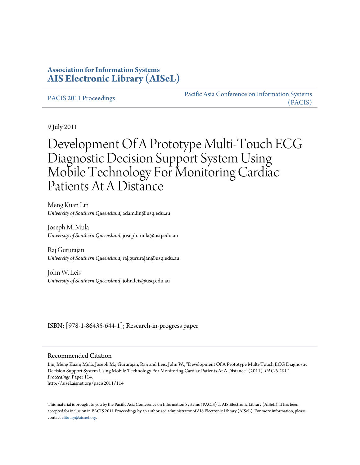# **Association for Information Systems [AIS Electronic Library \(AISeL\)](http://aisel.aisnet.org)**

[PACIS 2011 Proceedings](http://aisel.aisnet.org/pacis2011) PACIS 2011 Proceedings [Pacific Asia Conference on Information Systems](http://aisel.aisnet.org/pacis) [\(PACIS\)](http://aisel.aisnet.org/pacis)

9 July 2011

# Development Of A Prototype Multi-Touch ECG Diagnostic Decision Support System Using Mobile Technology For Monitoring Cardiac Patients At A Distance

Meng Kuan Lin *University of Southern Queensland*, adam.lin@usq.edu.au

Joseph M. Mula *University of Southern Queensland*, joseph.mula@usq.edu.au

Raj Gururajan *University of Southern Queensland*, raj.gururajan@usq.edu.au

John W. Leis *University of Southern Queensland*, john.leis@usq.edu.au

#### ISBN: [978-1-86435-644-1]; Research-in-progress paper

#### Recommended Citation

Lin, Meng Kuan; Mula, Joseph M.; Gururajan, Raj; and Leis, John W., "Development Of A Prototype Multi-Touch ECG Diagnostic Decision Support System Using Mobile Technology For Monitoring Cardiac Patients At A Distance" (2011). *PACIS 2011 Proceedings.* Paper 114. http://aisel.aisnet.org/pacis2011/114

This material is brought to you by the Pacific Asia Conference on Information Systems (PACIS) at AIS Electronic Library (AISeL). It has been accepted for inclusion in PACIS 2011 Proceedings by an authorized administrator of AIS Electronic Library (AISeL). For more information, please contact [elibrary@aisnet.org.](mailto:elibrary@aisnet.org>)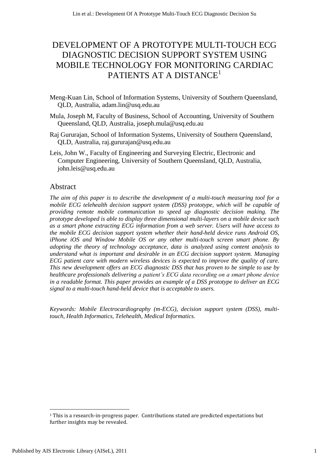# DEVELOPMENT OF A PROTOTYPE MULTI-TOUCH ECG DIAGNOSTIC DECISION SUPPORT SYSTEM USING MOBILE TECHNOLOGY FOR MONITORING CARDIAC PATIENTS AT A DISTANCE<sup>1</sup>

- Meng-Kuan Lin, School of Information Systems, University of Southern Queensland, QLD, Australia, [adam.lin@usq.edu.au](mailto:adam.lin@usq.edu.au)
- Mula, Joseph M, Faculty of Business, School of Accounting, University of Southern Queensland, QLD, Australia, [joseph.mula@usq.edu.au](mailto:joseph.mula@usq.edu.au)
- Raj Gururajan, School of Information Systems, University of Southern Queensland, QLD, Australia, raj.gururajan@usq.edu.au
- Leis, John W., Faculty of Engineering and Surveying Electric, Electronic and Computer Engineering, University of Southern Queensland, QLD, Australia, john.leis@usq.edu.au

### Abstract

*The aim of this paper is to describe the development of a multi-touch measuring tool for a mobile ECG telehealth decision support system (DSS) prototype, which will be capable of providing remote mobile communication to speed up diagnostic decision making. The prototype developed is able to display three dimensional multi-layers on a mobile device such as a smart phone extracting ECG information from a web server. Users will have access to the mobile ECG decision support system whether their hand-held device runs Android OS, iPhone iOS and Window Mobile OS or any other multi-touch screen smart phone. By adopting the theory of technology acceptance, data is analyzed using content analysis to understand what is important and desirable in an ECG decision support system. Managing ECG patient care with modern wireless devices is expected to improve the quality of care. This new development offers an ECG diagnostic DSS that has proven to be simple to use by healthcare professionals delivering a patient's ECG data recording on a smart phone device in a readable format. This paper provides an example of a DSS prototype to deliver an ECG signal to a multi-touch hand-held device that is acceptable to users.*

*Keywords: Mobile Electrocardiography (m-ECG), decision support system (DSS), multitouch, Health Informatics, Telehealth, Medical Informatics.*

 $\overline{\phantom{a}}$ 

 $1$  This is a research-in-progress paper. Contributions stated are predicted expectations but further insights may be revealed.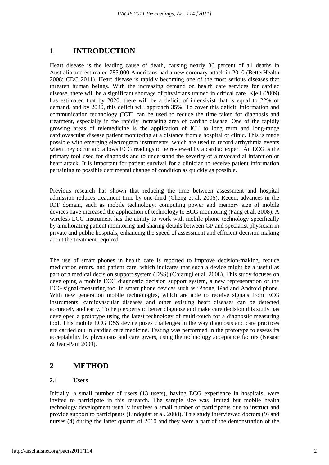# **1 INTRODUCTION**

Heart disease is the leading cause of death, causing nearly 36 percent of all deaths in Australia and estimated 785,000 Americans had a new coronary attack in 2010 [\(BetterHealth](#page-8-0)  [2008;](#page-8-0) [CDC 2011\)](#page-8-1). Heart disease is rapidly becoming one of the most serious diseases that threaten human beings. With the increasing demand on health care services for cardiac disease, there will be a significant shortage of physicians trained in critical care. Kjell [\(2009\)](#page-8-2) has estimated that by 2020, there will be a deficit of intensivist that is equal to 22% of demand, and by 2030, this deficit will approach 35%. To cover this deficit, information and communication technology (ICT) can be used to reduce the time taken for diagnosis and treatment, especially in the rapidly increasing area of cardiac disease. One of the rapidly growing areas of telemedicine is the application of ICT to long term and long-range cardiovascular disease patient monitoring at a distance from a hospital or clinic. This is made possible with emerging electrogram instruments, which are used to record arrhythmia events when they occur and allows ECG readings to be reviewed by a cardiac expert. An ECG is the primary tool used for diagnosis and to understand the severity of a myocardial infarction or heart attack. It is important for patient survival for a clinician to receive patient information pertaining to possible detrimental change of condition as quickly as possible.

Previous research has shown that reducing the time between assessment and hospital admission reduces treatment time by one-third [\(Cheng et al. 2006\)](#page-8-3). Recent advances in the ICT domain, such as mobile technology, computing power and memory size of mobile devices have increased the application of technology to ECG monitoring [\(Fang et al. 2008\)](#page-8-4). A wireless ECG instrument has the ability to work with mobile phone technology specifically by ameliorating patient monitoring and sharing details between GP and specialist physician in private and public hospitals, enhancing the speed of assessment and efficient decision making about the treatment required.

The use of smart phones in health care is reported to improve decision-making, reduce medication errors, and patient care, which indicates that such a device might be a useful as part of a medical decision support system (DSS) [\(Chiarugi et al. 2008\)](#page-8-5). This study focuses on developing a mobile ECG diagnostic decision support system, a new representation of the ECG signal-measuring tool in smart phone devices such as iPhone, iPad and Android phone. With new generation mobile technologies, which are able to receive signals from ECG instruments, cardiovascular diseases and other existing heart diseases can be detected accurately and early. To help experts to better diagnose and make care decision this study has developed a prototype using the latest technology of multi-touch for a diagnostic measuring tool. This mobile ECG DSS device poses challenges in the way diagnosis and care practices are carried out in cardiac care medicine. Testing was performed in the prototype to assess its acceptability by physicians and care givers, using the technology acceptance factors [\(Nesaar](#page-8-6)  [& Jean-Paul 2009\)](#page-8-6).

# **2 METHOD**

#### **2.1 Users**

Initially, a small number of users (13 users), having ECG experience in hospitals, were invited to participate in this research. The sample size was limited but mobile health technology development usually involves a small number of participants due to instruct and provide support to participants [\(Lindquist et al. 2008\)](#page-8-7). This study interviewed doctors (9) and nurses (4) during the latter quarter of 2010 and they were a part of the demonstration of the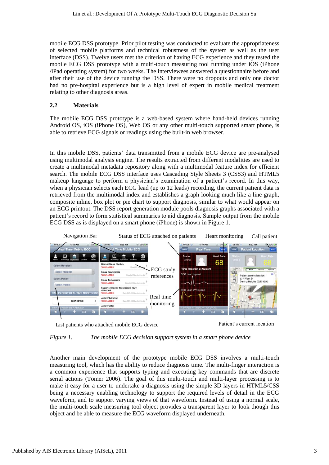mobile ECG DSS prototype. Prior pilot testing was conducted to evaluate the appropriateness of selected mobile platforms and technical robustness of the system as well as the user interface (DSS). Twelve users met the criterion of having ECG experience and they tested the mobile ECG DSS prototype with a multi-touch measuring tool running under iOS (iPhone /iPad operating system) for two weeks. The interviewees answered a questionnaire before and after their use of the device running the DSS. There were no dropouts and only one doctor had no pre-hospital experience but is a high level of expert in mobile medical treatment relating to other diagnosis areas.

#### **2.2 Materials**

The mobile ECG DSS prototype is a web-based system where hand-held devices running Android OS, iOS (iPhone OS), Web OS or any other multi-touch supported smart phone, is able to retrieve ECG signals or readings using the built-in web browser.

In this mobile DSS, patients' data transmitted from a mobile ECG device are pre-analysed using multimodal analysis engine. The results extracted from different modalities are used to create a multimodal metadata repository along with a multimodal feature index for efficient search. The mobile ECG DSS interface uses Cascading Style Sheets 3 (CSS3) and HTML5 makeup language to perform a physician's examination of a patient's record. In this way, when a physician selects each ECG lead (up to 12 leads) recording, the current patient data is retrieved from the multimodal index and establishes a graph looking much like a line graph, composite inline, box plot or pie chart to support diagnosis, similar to what would appear on an ECG printout. The DSS report generation module pools diagnosis graphs associated with a patient's record to form statistical summaries to aid diagnosis. Sample output from the mobile ECG DSS as is displayed on a smart phone (iPhone) is shown in Figure 1.



List patients who attached mobile ECG device Patient's current location



*Figure 1. The mobile ECG decision support system in a smart phone device*

Another main development of the prototype mobile ECG DSS involves a multi-touch measuring tool, which has the ability to reduce diagnosis time. The multi-finger interaction is a common experience that supports typing and executing key commands that are discrete serial actions [\(Tomer 2006\)](#page-8-8). The goal of this multi-touch and multi-layer processing is to make it easy for a user to undertake a diagnosis using the simple 3D layers in HTML5/CSS being a necessary enabling technology to support the required levels of detail in the ECG waveform, and to support varying views of that waveform. Instead of using a normal scale, the multi-touch scale measuring tool object provides a transparent layer to look though this object and be able to measure the ECG waveform displayed underneath.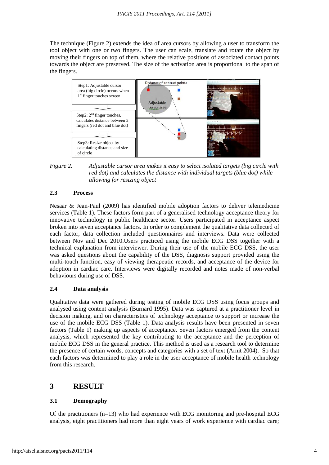The technique (Figure 2) extends the idea of area cursors by allowing a user to transform the tool object with one or two fingers. The user can scale, translate and rotate the object by moving their fingers on top of them, where the relative positions of associated contact points towards the object are preserved. The size of the activation area is proportional to the span of the fingers.



*Figure 2. Adjustable cursor area makes it easy to select isolated targets (big circle with red dot) and calculates the distance with individual targets (blue dot) while allowing for resizing object*

#### **2.3 Process**

Nesaar & Jean-Paul [\(2009\)](#page-8-6) has identified mobile adoption factors to deliver telemedicine services (Table 1). These factors form part of a generalised technology acceptance theory for innovative technology in public healthcare sector. Users participated in acceptance aspect broken into seven acceptance factors. In order to complement the qualitative data collected of each factor, data collection included questionnaires and interviews. Data were collected between Nov and Dec 2010.Users practiced using the mobile ECG DSS together with a technical explanation from interviewer. During their use of the mobile ECG DSS, the user was asked questions about the capability of the DSS, diagnosis support provided using the multi-touch function, easy of viewing therapeutic records, and acceptance of the device for adoption in cardiac care. Interviews were digitally recorded and notes made of non-verbal behaviours during use of DSS.

#### **2.4 Data analysis**

Qualitative data were gathered during testing of mobile ECG DSS using focus groups and analysed using content analysis [\(Burnard 1995\)](#page-8-9). Data was captured at a practitioner level in decision making, and on characteristics of technology acceptance to support or increase the use of the mobile ECG DSS (Table 1). Data analysis results have been presented in seven factors (Table 1) making up aspects of acceptance. Seven factors emerged from the content analysis, which represented the key contributing to the acceptance and the perception of mobile ECG DSS in the general practice. This method is used as a research tool to determine the presence of certain words, concepts and categories with a set of text [\(Arnit 2004\)](#page-8-10). So that each factors was determined to play a role in the user acceptance of mobile health technology from this research.

## **3 RESULT**

#### **3.1 Demography**

Of the practitioners  $(n=13)$  who had experience with ECG monitoring and pre-hospital ECG analysis, eight practitioners had more than eight years of work experience with cardiac care;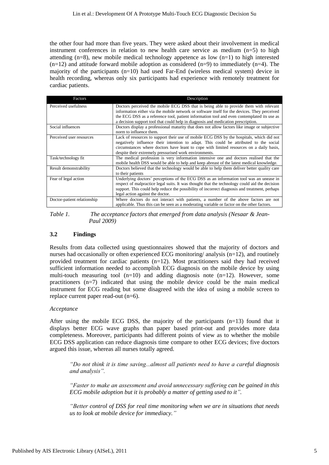the other four had more than five years. They were asked about their involvement in medical instrument conferences in relation to new health care service as medium (n=5) to high attending  $(n=8)$ , new mobile medical technology appetence as low  $(n=1)$  to high interested  $(n=12)$  and attitude forward mobile adoption as considered  $(n=9)$  to immediately  $(n=4)$ . The majority of the participants (n=10) had used Far-End (wireless medical system) device in health recording, whereas only six participants had experience with remotely treatment for cardiac patients.

| Factors                     | Description                                                                                                                                                                                                                                                                                                                                                              |
|-----------------------------|--------------------------------------------------------------------------------------------------------------------------------------------------------------------------------------------------------------------------------------------------------------------------------------------------------------------------------------------------------------------------|
| Perceived usefulness        | Doctors perceived the mobile ECG DSS that is being able to provide them with relevant<br>information either via the mobile network or software itself for the devices. They perceived<br>the ECG DSS as a reference tool, patient information tool and even contemplated its use as<br>a decision support tool that could help in diagnosis and medication prescription. |
| Social influences           | Doctors display a professional maturity that does not allow factors like image or subjective<br>norm to influence them.                                                                                                                                                                                                                                                  |
| Perceived user resources    | Lack of resources to support their use of mobile ECG DSS by the hospitals, which did not<br>negatively influence their intention to adapt. This could be attributed to the social<br>circumstances where doctors have leant to cope with limited resources on a daily basis,<br>despite their extremely pressurised work environments.                                   |
| Task/technology fit         | The medical profession is very information intensive one and doctors realised that the<br>mobile health DSS would be able to help and keep abreast of the latest medical knowledge.                                                                                                                                                                                      |
| Result demonstrability      | Doctors believed that the technology would be able to help them deliver better quality care<br>to their patients                                                                                                                                                                                                                                                         |
| Fear of legal action        | Underlying doctors' perceptions of the ECG DSS as an information tool was an unease in<br>respect of malpractice legal suits. It was thought that the technology could aid the decision<br>support. This could help reduce the possibility of incorrect diagnosis and treatment, perhaps<br>legal action against the doctor.                                             |
| Doctor-patient relationship | Where doctors do not interact with patients, a number of the above factors are not<br>applicable. Thus this can be seen as a moderating variable or factor on the other factors.                                                                                                                                                                                         |

*Table 1. The acceptance factors that emerged from data analysis [\(Nesaar & Jean-](#page-8-6)[Paul 2009\)](#page-8-6)*

#### **3.2 Findings**

Results from data collected using questionnaires showed that the majority of doctors and nurses had occasionally or often experienced ECG monitoring/ analysis (n=12), and routinely provided treatment for cardiac patients (n=12). Most practitioners said they had received sufficient information needed to accomplish ECG diagnosis on the mobile device by using multi-touch measuring tool  $(n=10)$  and adding diagnosis note  $(n=12)$ . However, some practitioners (n=7) indicated that using the mobile device could be the main medical instrument for ECG reading but some disagreed with the idea of using a mobile screen to replace current paper read-out (n=6).

#### *Acceptance*

After using the mobile ECG DSS, the majority of the participants (n=13) found that it displays better ECG wave graphs than paper based print-out and provides more data completeness. Moreover, participants had different points of view as to whether the mobile ECG DSS application can reduce diagnosis time compare to other ECG devices; five doctors argued this issue, whereas all nurses totally agreed.

*"Do not think it is time saving...almost all patients need to have a careful diagnosis and analysis".*

*"Faster to make an assessment and avoid unnecessary suffering can be gained in this ECG mobile adoption but it is probably a matter of getting used to it".*

*"Better control of DSS for real time monitoring when we are in situations that needs us to look at mobile device for immediacy."*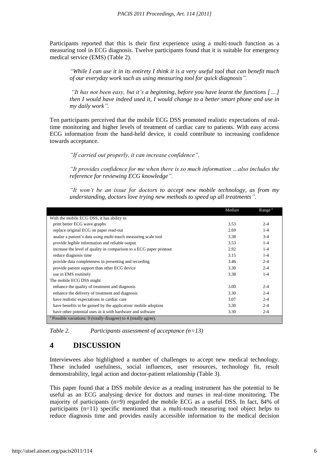Participants reported that this is their first experience using a multi-touch function as a measuring tool in ECG diagnosis. Twelve participants found that it is suitable for emergency medical service (EMS) (Table 2).

*"While I can use it in its entirety I think it is a very useful tool that can benefit much of our everyday work such as using measuring tool for quick diagnosis".*

*"It has not been easy, but it's a beginning, before you have learnt the functions [….] then I would have indeed used it, I would change to a better smart phone and use in my daily work".*

Ten participants perceived that the mobile ECG DSS promoted realistic expectations of realtime monitoring and higher levels of treatment of cardiac care to patients. With easy access ECG information from the hand-held device, it could contribute to increasing confidence towards acceptance.

*"If carried out properly, it can increase confidence".*

*"It provides confidence for me when there is so much information …also includes the reference for reviewing ECG knowledge".*

*"It won't be an issue for doctors to accept new mobile technology, as from my understanding, doctors love trying new methods to speed up all treatments".*

|                                                                              | Median | Range <sup>a</sup> |  |  |
|------------------------------------------------------------------------------|--------|--------------------|--|--|
| With the mobile ECG DSS, it has ability to                                   |        |                    |  |  |
| print better ECG wave graphs                                                 | 3.53   | $2 - 4$            |  |  |
| replace original ECG on paper read-out                                       | 2.69   | $1 - 4$            |  |  |
| analze a patient's data using multi-touch measuring scale tool               | 3.38   | $3-4$              |  |  |
| provide legible information and reliable output                              | 3.53   | $1 - 4$            |  |  |
| increase the level of quality in comparison to a ECG paper printout          | 2.92   | $1 - 4$            |  |  |
| reduce diagnosis time                                                        | 3.15   | $1 - 4$            |  |  |
| provide data completeness in presenting and recording                        | 3.46   | $2 - 4$            |  |  |
| provide patient support than other ECG device                                | 3.30   | $2 - 4$            |  |  |
| use in EMS routinely                                                         | 3.38   | $1 - 4$            |  |  |
| The mobile ECG DSS might                                                     |        |                    |  |  |
| enhance the quality of treatment and diagnosis                               | 3.00   | $2 - 4$            |  |  |
| enhance the delivery of treatment and diagnosis                              | 3.30   | $2 - 4$            |  |  |
| have realistic expectations in cardiac care                                  | 3.07   | $2 - 4$            |  |  |
| have benefits to be gained by the application/mobile adoption                | 3.30   | $2 - 4$            |  |  |
| have other potential uses in it with hardware and software                   | 3.30   | $2 - 4$            |  |  |
| <sup>a</sup> Possible variations: 0 (totally disagree) to 4 (totally agree). |        |                    |  |  |

*Table 2. Participants assessment of acceptance (n=13)*

# **4 DISCUSSION**

Interviewees also highlighted a number of challenges to accept new medical technology. These included usefulness, social influences, user resources, technology fit, result demonstrability, legal action and doctor-patient relationship (Table 3).

This paper found that a DSS mobile device as a reading instrument has the potential to be useful as an ECG analysing device for doctors and nurses in real-time monitoring. The majority of participants (n=9) regarded the mobile ECG as a useful DSS. In fact, 84% of participants (n=11) specific mentioned that a multi-touch measuring tool object helps to reduce diagnosis time and provides easily accessible information to the medical decision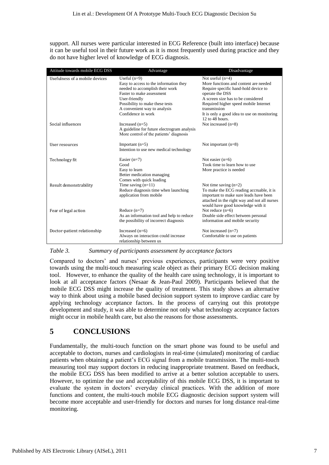support. All nurses were particular interested in ECG Reference (built into interface) because it can be useful tool in their future work as it is most frequently used during practice and they do not have higher level of knowledge of ECG diagnosis.

| Attitude towards mobile ECG DSS | Advantage                                                                                                                                                                                                                          | Disadvantage                                                                                                                                                                                                                                                                                |
|---------------------------------|------------------------------------------------------------------------------------------------------------------------------------------------------------------------------------------------------------------------------------|---------------------------------------------------------------------------------------------------------------------------------------------------------------------------------------------------------------------------------------------------------------------------------------------|
| Usefulness of a mobile devices  | Useful $(n=9)$<br>Easy to access to the information they<br>needed to accomplish their work<br>Faster to make assessment<br>User-friendly<br>Possibility to make these tests<br>A convenient way to analysis<br>Confidence in work | Not useful $(n=4)$<br>More functions and content are needed<br>Require specific hand-hold device to<br>operate the DSS<br>A screen size has to be considered<br>Required higher speed mobile Internet<br>transmission<br>It is only a good idea to use on monitoring<br>$12$ to $48$ hours. |
| Social influences               | Increased $(n=5)$<br>A guideline for future electrogram analysis<br>More control of the patients' diagnosis                                                                                                                        | Not increased $(n=8)$                                                                                                                                                                                                                                                                       |
| User resources                  | Important $(n=5)$<br>Intention to use new medical technology                                                                                                                                                                       | Not important $(n=8)$                                                                                                                                                                                                                                                                       |
| Technology fit                  | Easier $(n=7)$<br>Good<br>Easy to learn<br>Better medication managing<br>Comes with quick loading                                                                                                                                  | Not easier $(n=6)$<br>Took time to learn how to use<br>More practice is needed                                                                                                                                                                                                              |
| Result demonstrability          | Time saving $(n=11)$<br>Reduce diagnosis time when launching<br>application from mobile                                                                                                                                            | Not time saving $(n=2)$<br>To make the ECG reading accruable, it is<br>important to make sure leads have been<br>attached in the right way and not all nurses<br>would have good knowledge with it                                                                                          |
| Fear of legal action            | Reduce $(n=7)$<br>As an information tool and help to reduce<br>the possibility of incorrect diagnosis                                                                                                                              | Not reduce $(n=6)$<br>Double side effect between personal<br>information and mobile security                                                                                                                                                                                                |
| Doctor-patient relationship     | Increased $(n=6)$<br>Always on interaction could increase<br>relationship between us                                                                                                                                               | Not increased $(n=7)$<br>Comfortable to use on patients                                                                                                                                                                                                                                     |

*Table 3. Summary of participants assessment by acceptance factors*

Compared to doctors' and nurses' previous experiences, participants were very positive towards using the multi-touch measuring scale object as their primary ECG decision making tool. However, to enhance the quality of the health care using technology, it is important to look at all acceptance factors [\(Nesaar & Jean-Paul 2009\)](#page-8-6). Participants believed that the mobile ECG DSS might increase the quality of treatment. This study shows an alternative way to think about using a mobile based decision support system to improve cardiac care by applying technology acceptance factors. In the process of carrying out this prototype development and study, it was able to determine not only what technology acceptance factors might occur in mobile health care, but also the reasons for those assessments.

# **5 CONCLUSIONS**

Fundamentally, the multi-touch function on the smart phone was found to be useful and acceptable to doctors, nurses and cardiologists in real-time (simulated) monitoring of cardiac patients when obtaining a patient's ECG signal from a mobile transmission. The multi-touch measuring tool may support doctors in reducing inappropriate treatment. Based on feedback, the mobile ECG DSS has been modified to arrive at a better solution acceptable to users. However, to optimize the use and acceptability of this mobile ECG DSS, it is important to evaluate the system in doctors' everyday clinical practices. With the addition of more functions and content, the multi-touch mobile ECG diagnostic decision support system will become more acceptable and user-friendly for doctors and nurses for long distance real-time monitoring.